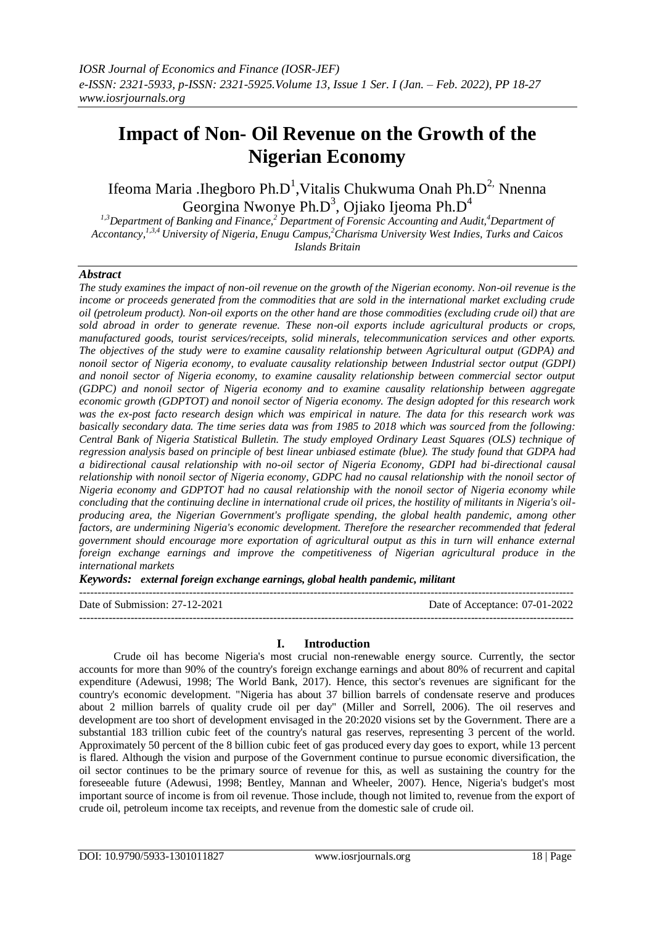# **Impact of Non- Oil Revenue on the Growth of the Nigerian Economy**

Ifeoma Maria .Ihegboro Ph.D<sup>1</sup>, Vitalis Chukwuma Onah Ph.D<sup>2,</sup> Nnenna Georgina Nwonye Ph.D<sup>3</sup>, Ojiako Ijeoma Ph.D<sup>4</sup>

*1,3Department of Banking and Finance,<sup>2</sup> Department of Forensic Accounting and Audit,<sup>4</sup>Department of Accontancy,1,3,4 University of Nigeria, Enugu Campus,<sup>2</sup>Charisma University West Indies, Turks and Caicos Islands Britain*

# *Abstract*

*The study examines the impact of non-oil revenue on the growth of the Nigerian economy. Non-oil revenue is the income or proceeds generated from the commodities that are sold in the international market excluding crude oil (petroleum product). Non-oil exports on the other hand are those commodities (excluding crude oil) that are sold abroad in order to generate revenue. These non-oil exports include agricultural products or crops, manufactured goods, tourist services/receipts, solid minerals, telecommunication services and other exports. The objectives of the study were to examine causality relationship between Agricultural output (GDPA) and nonoil sector of Nigeria economy, to evaluate causality relationship between Industrial sector output (GDPI) and nonoil sector of Nigeria economy, to examine causality relationship between commercial sector output (GDPC) and nonoil sector of Nigeria economy and to examine causality relationship between aggregate economic growth (GDPTOT) and nonoil sector of Nigeria economy. The design adopted for this research work was the ex-post facto research design which was empirical in nature. The data for this research work was basically secondary data. The time series data was from 1985 to 2018 which was sourced from the following: Central Bank of Nigeria Statistical Bulletin. The study employed Ordinary Least Squares (OLS) technique of regression analysis based on principle of best linear unbiased estimate (blue). The study found that GDPA had a bidirectional causal relationship with no-oil sector of Nigeria Economy, GDPI had bi-directional causal relationship with nonoil sector of Nigeria economy, GDPC had no causal relationship with the nonoil sector of Nigeria economy and GDPTOT had no causal relationship with the nonoil sector of Nigeria economy while concluding that the continuing decline in international crude oil prices, the hostility of militants in Nigeria's oilproducing area, the Nigerian Government's profligate spending, the global health pandemic, among other factors, are undermining Nigeria's economic development. Therefore the researcher recommended that federal government should encourage more exportation of agricultural output as this in turn will enhance external foreign exchange earnings and improve the competitiveness of Nigerian agricultural produce in the international markets*

*Keywords: external foreign exchange earnings, global health pandemic, militant*

Date of Submission: 27-12-2021 Date of Acceptance: 07-01-2022

## **I. Introduction**

---------------------------------------------------------------------------------------------------------------------------------------

---------------------------------------------------------------------------------------------------------------------------------------

Crude oil has become Nigeria's most crucial non-renewable energy source. Currently, the sector accounts for more than 90% of the country's foreign exchange earnings and about 80% of recurrent and capital expenditure (Adewusi, 1998; The World Bank, 2017). Hence, this sector's revenues are significant for the country's economic development. "Nigeria has about 37 billion barrels of condensate reserve and produces about 2 million barrels of quality crude oil per day" (Miller and Sorrell, 2006). The oil reserves and development are too short of development envisaged in the 20:2020 visions set by the Government. There are a substantial 183 trillion cubic feet of the country's natural gas reserves, representing 3 percent of the world. Approximately 50 percent of the 8 billion cubic feet of gas produced every day goes to export, while 13 percent is flared. Although the vision and purpose of the Government continue to pursue economic diversification, the oil sector continues to be the primary source of revenue for this, as well as sustaining the country for the foreseeable future (Adewusi, 1998; Bentley, Mannan and Wheeler, 2007). Hence, Nigeria's budget's most important source of income is from oil revenue. Those include, though not limited to, revenue from the export of crude oil, petroleum income tax receipts, and revenue from the domestic sale of crude oil.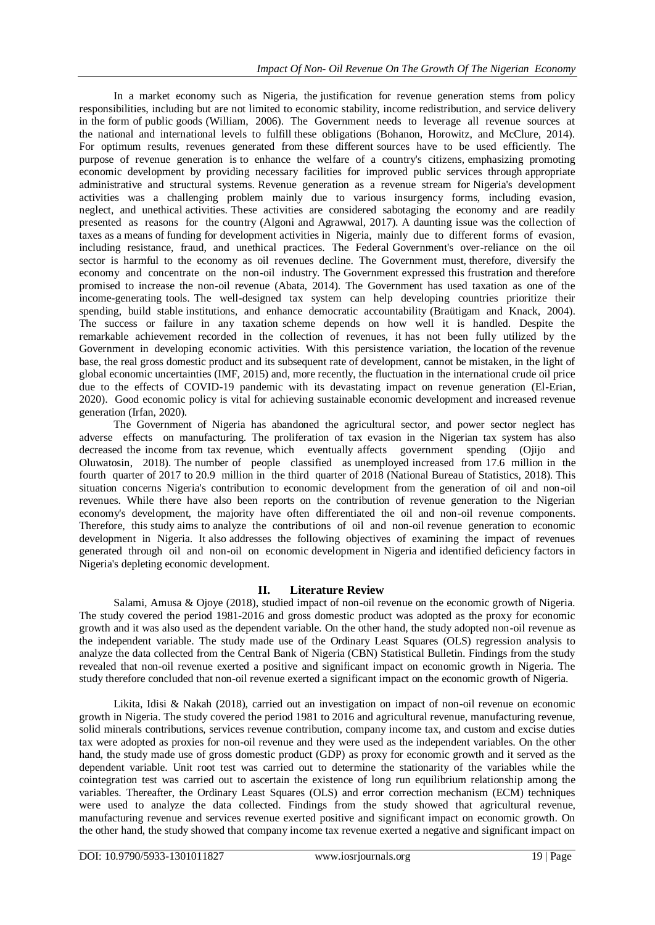In a market economy such as Nigeria, the justification for revenue generation stems from policy responsibilities, including but are not limited to economic stability, income redistribution, and service delivery in the form of public goods (William, 2006). The Government needs to leverage all revenue sources at the national and international levels to fulfill these obligations (Bohanon, Horowitz, and McClure, 2014). For optimum results, revenues generated from these different sources have to be used efficiently. The purpose of revenue generation is to enhance the welfare of a country's citizens, emphasizing promoting economic development by providing necessary facilities for improved public services through appropriate administrative and structural systems. Revenue generation as a revenue stream for Nigeria's development activities was a challenging problem mainly due to various insurgency forms, including evasion, neglect, and unethical activities. These activities are considered sabotaging the economy and are readily presented as reasons for the country (Algoni and Agrawwal, 2017). A daunting issue was the collection of taxes as a means of funding for development activities in Nigeria, mainly due to different forms of evasion, including resistance, fraud, and unethical practices. The Federal Government's over-reliance on the oil sector is harmful to the economy as oil revenues decline. The Government must, therefore, diversify the economy and concentrate on the non-oil industry. The Government expressed this frustration and therefore promised to increase the non-oil revenue (Abata, 2014). The Government has used taxation as one of the income-generating tools. The well-designed tax system can help developing countries prioritize their spending, build stable institutions, and enhance democratic accountability (Braütigam and Knack, 2004). The success or failure in any taxation scheme depends on how well it is handled. Despite the remarkable achievement recorded in the collection of revenues, it has not been fully utilized by the Government in developing economic activities. With this persistence variation, the location of the revenue base, the real gross domestic product and its subsequent rate of development, cannot be mistaken, in the light of global economic uncertainties (IMF, 2015) and, more recently, the fluctuation in the international crude oil price due to the effects of COVID-19 pandemic with its devastating impact on revenue generation (El-Erian, 2020). Good economic policy is vital for achieving sustainable economic development and increased revenue generation (Irfan, 2020).

The Government of Nigeria has abandoned the agricultural sector, and power sector neglect has adverse effects on manufacturing. The proliferation of tax evasion in the Nigerian tax system has also decreased the income from tax revenue, which eventually affects government spending (Ojijo and Oluwatosin, 2018). The number of people classified as unemployed increased from 17.6 million in the fourth quarter of 2017 to 20.9 million in the third quarter of 2018 (National Bureau of Statistics, 2018). This situation concerns Nigeria's contribution to economic development from the generation of oil and non-oil revenues. While there have also been reports on the contribution of revenue generation to the Nigerian economy's development, the majority have often differentiated the oil and non-oil revenue components. Therefore, this study aims to analyze the contributions of oil and non-oil revenue generation to economic development in Nigeria. It also addresses the following objectives of examining the impact of revenues generated through oil and non-oil on economic development in Nigeria and identified deficiency factors in Nigeria's depleting economic development.

# **II. Literature Review**

Salami, Amusa & Ojoye (2018), studied impact of non-oil revenue on the economic growth of Nigeria. The study covered the period 1981-2016 and gross domestic product was adopted as the proxy for economic growth and it was also used as the dependent variable. On the other hand, the study adopted non-oil revenue as the independent variable. The study made use of the Ordinary Least Squares (OLS) regression analysis to analyze the data collected from the Central Bank of Nigeria (CBN) Statistical Bulletin. Findings from the study revealed that non-oil revenue exerted a positive and significant impact on economic growth in Nigeria. The study therefore concluded that non-oil revenue exerted a significant impact on the economic growth of Nigeria.

Likita, Idisi & Nakah (2018), carried out an investigation on impact of non-oil revenue on economic growth in Nigeria. The study covered the period 1981 to 2016 and agricultural revenue, manufacturing revenue, solid minerals contributions, services revenue contribution, company income tax, and custom and excise duties tax were adopted as proxies for non-oil revenue and they were used as the independent variables. On the other hand, the study made use of gross domestic product (GDP) as proxy for economic growth and it served as the dependent variable. Unit root test was carried out to determine the stationarity of the variables while the cointegration test was carried out to ascertain the existence of long run equilibrium relationship among the variables. Thereafter, the Ordinary Least Squares (OLS) and error correction mechanism (ECM) techniques were used to analyze the data collected. Findings from the study showed that agricultural revenue, manufacturing revenue and services revenue exerted positive and significant impact on economic growth. On the other hand, the study showed that company income tax revenue exerted a negative and significant impact on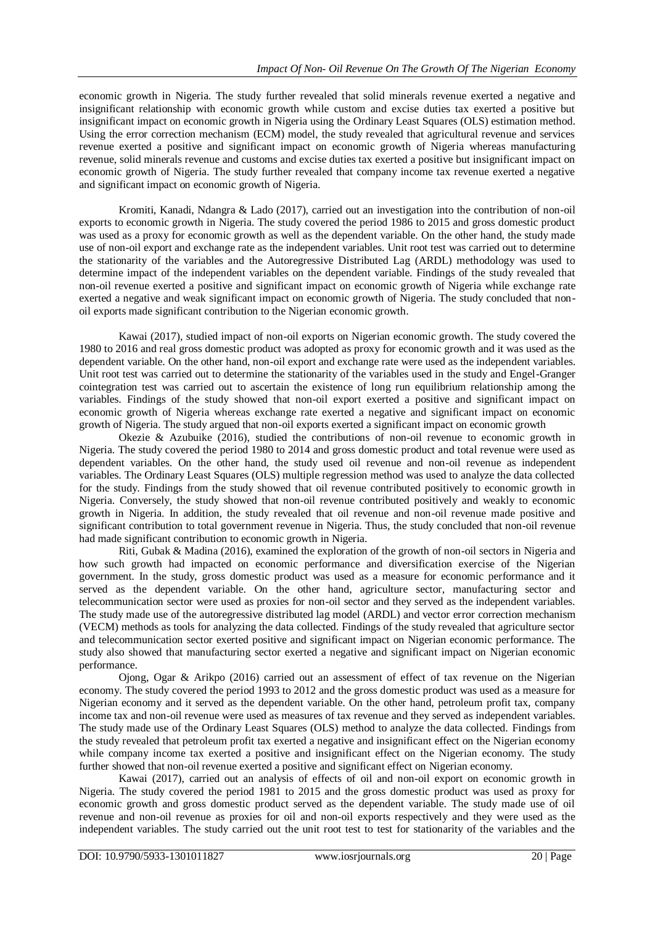economic growth in Nigeria. The study further revealed that solid minerals revenue exerted a negative and insignificant relationship with economic growth while custom and excise duties tax exerted a positive but insignificant impact on economic growth in Nigeria using the Ordinary Least Squares (OLS) estimation method. Using the error correction mechanism (ECM) model, the study revealed that agricultural revenue and services revenue exerted a positive and significant impact on economic growth of Nigeria whereas manufacturing revenue, solid minerals revenue and customs and excise duties tax exerted a positive but insignificant impact on economic growth of Nigeria. The study further revealed that company income tax revenue exerted a negative and significant impact on economic growth of Nigeria.

Kromiti, Kanadi, Ndangra & Lado (2017), carried out an investigation into the contribution of non-oil exports to economic growth in Nigeria. The study covered the period 1986 to 2015 and gross domestic product was used as a proxy for economic growth as well as the dependent variable. On the other hand, the study made use of non-oil export and exchange rate as the independent variables. Unit root test was carried out to determine the stationarity of the variables and the Autoregressive Distributed Lag (ARDL) methodology was used to determine impact of the independent variables on the dependent variable. Findings of the study revealed that non-oil revenue exerted a positive and significant impact on economic growth of Nigeria while exchange rate exerted a negative and weak significant impact on economic growth of Nigeria. The study concluded that nonoil exports made significant contribution to the Nigerian economic growth.

Kawai (2017), studied impact of non-oil exports on Nigerian economic growth. The study covered the 1980 to 2016 and real gross domestic product was adopted as proxy for economic growth and it was used as the dependent variable. On the other hand, non-oil export and exchange rate were used as the independent variables. Unit root test was carried out to determine the stationarity of the variables used in the study and Engel-Granger cointegration test was carried out to ascertain the existence of long run equilibrium relationship among the variables. Findings of the study showed that non-oil export exerted a positive and significant impact on economic growth of Nigeria whereas exchange rate exerted a negative and significant impact on economic growth of Nigeria. The study argued that non-oil exports exerted a significant impact on economic growth

Okezie & Azubuike (2016), studied the contributions of non-oil revenue to economic growth in Nigeria. The study covered the period 1980 to 2014 and gross domestic product and total revenue were used as dependent variables. On the other hand, the study used oil revenue and non-oil revenue as independent variables. The Ordinary Least Squares (OLS) multiple regression method was used to analyze the data collected for the study. Findings from the study showed that oil revenue contributed positively to economic growth in Nigeria. Conversely, the study showed that non-oil revenue contributed positively and weakly to economic growth in Nigeria. In addition, the study revealed that oil revenue and non-oil revenue made positive and significant contribution to total government revenue in Nigeria. Thus, the study concluded that non-oil revenue had made significant contribution to economic growth in Nigeria.

Riti, Gubak & Madina (2016), examined the exploration of the growth of non-oil sectors in Nigeria and how such growth had impacted on economic performance and diversification exercise of the Nigerian government. In the study, gross domestic product was used as a measure for economic performance and it served as the dependent variable. On the other hand, agriculture sector, manufacturing sector and telecommunication sector were used as proxies for non-oil sector and they served as the independent variables. The study made use of the autoregressive distributed lag model (ARDL) and vector error correction mechanism (VECM) methods as tools for analyzing the data collected. Findings of the study revealed that agriculture sector and telecommunication sector exerted positive and significant impact on Nigerian economic performance. The study also showed that manufacturing sector exerted a negative and significant impact on Nigerian economic performance.

Ojong, Ogar & Arikpo (2016) carried out an assessment of effect of tax revenue on the Nigerian economy. The study covered the period 1993 to 2012 and the gross domestic product was used as a measure for Nigerian economy and it served as the dependent variable. On the other hand, petroleum profit tax, company income tax and non-oil revenue were used as measures of tax revenue and they served as independent variables. The study made use of the Ordinary Least Squares (OLS) method to analyze the data collected. Findings from the study revealed that petroleum profit tax exerted a negative and insignificant effect on the Nigerian economy while company income tax exerted a positive and insignificant effect on the Nigerian economy. The study further showed that non-oil revenue exerted a positive and significant effect on Nigerian economy.

Kawai (2017), carried out an analysis of effects of oil and non-oil export on economic growth in Nigeria. The study covered the period 1981 to 2015 and the gross domestic product was used as proxy for economic growth and gross domestic product served as the dependent variable. The study made use of oil revenue and non-oil revenue as proxies for oil and non-oil exports respectively and they were used as the independent variables. The study carried out the unit root test to test for stationarity of the variables and the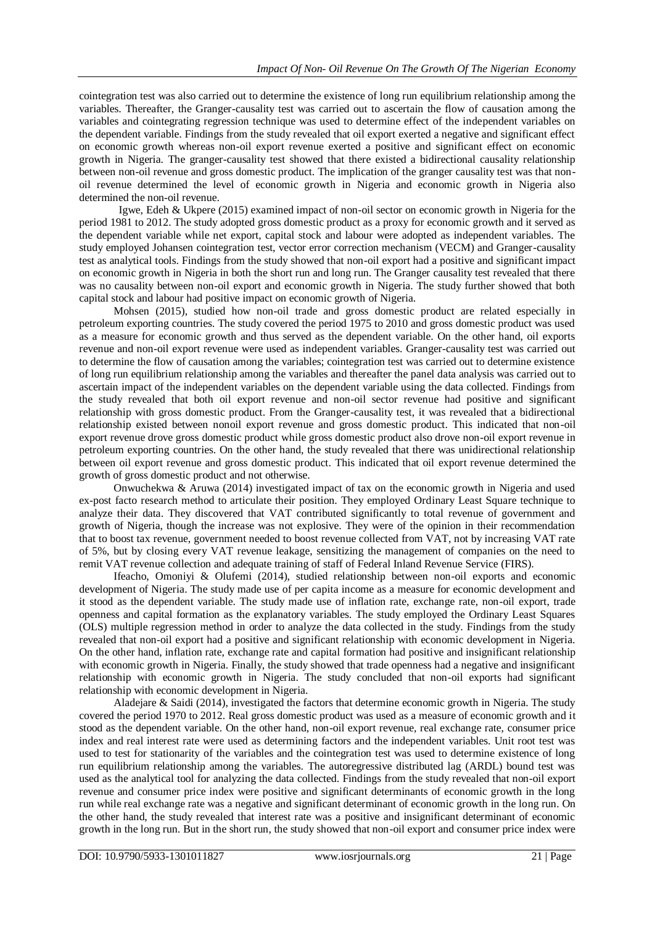cointegration test was also carried out to determine the existence of long run equilibrium relationship among the variables. Thereafter, the Granger-causality test was carried out to ascertain the flow of causation among the variables and cointegrating regression technique was used to determine effect of the independent variables on the dependent variable. Findings from the study revealed that oil export exerted a negative and significant effect on economic growth whereas non-oil export revenue exerted a positive and significant effect on economic growth in Nigeria. The granger-causality test showed that there existed a bidirectional causality relationship between non-oil revenue and gross domestic product. The implication of the granger causality test was that nonoil revenue determined the level of economic growth in Nigeria and economic growth in Nigeria also determined the non-oil revenue.

Igwe, Edeh & Ukpere (2015) examined impact of non-oil sector on economic growth in Nigeria for the period 1981 to 2012. The study adopted gross domestic product as a proxy for economic growth and it served as the dependent variable while net export, capital stock and labour were adopted as independent variables. The study employed Johansen cointegration test, vector error correction mechanism (VECM) and Granger-causality test as analytical tools. Findings from the study showed that non-oil export had a positive and significant impact on economic growth in Nigeria in both the short run and long run. The Granger causality test revealed that there was no causality between non-oil export and economic growth in Nigeria. The study further showed that both capital stock and labour had positive impact on economic growth of Nigeria.

Mohsen (2015), studied how non-oil trade and gross domestic product are related especially in petroleum exporting countries. The study covered the period 1975 to 2010 and gross domestic product was used as a measure for economic growth and thus served as the dependent variable. On the other hand, oil exports revenue and non-oil export revenue were used as independent variables. Granger-causality test was carried out to determine the flow of causation among the variables; cointegration test was carried out to determine existence of long run equilibrium relationship among the variables and thereafter the panel data analysis was carried out to ascertain impact of the independent variables on the dependent variable using the data collected. Findings from the study revealed that both oil export revenue and non-oil sector revenue had positive and significant relationship with gross domestic product. From the Granger-causality test, it was revealed that a bidirectional relationship existed between nonoil export revenue and gross domestic product. This indicated that non-oil export revenue drove gross domestic product while gross domestic product also drove non-oil export revenue in petroleum exporting countries. On the other hand, the study revealed that there was unidirectional relationship between oil export revenue and gross domestic product. This indicated that oil export revenue determined the growth of gross domestic product and not otherwise.

Onwuchekwa & Aruwa (2014) investigated impact of tax on the economic growth in Nigeria and used ex-post facto research method to articulate their position. They employed Ordinary Least Square technique to analyze their data. They discovered that VAT contributed significantly to total revenue of government and growth of Nigeria, though the increase was not explosive. They were of the opinion in their recommendation that to boost tax revenue, government needed to boost revenue collected from VAT, not by increasing VAT rate of 5%, but by closing every VAT revenue leakage, sensitizing the management of companies on the need to remit VAT revenue collection and adequate training of staff of Federal Inland Revenue Service (FIRS).

Ifeacho, Omoniyi & Olufemi (2014), studied relationship between non-oil exports and economic development of Nigeria. The study made use of per capita income as a measure for economic development and it stood as the dependent variable. The study made use of inflation rate, exchange rate, non-oil export, trade openness and capital formation as the explanatory variables. The study employed the Ordinary Least Squares (OLS) multiple regression method in order to analyze the data collected in the study. Findings from the study revealed that non-oil export had a positive and significant relationship with economic development in Nigeria. On the other hand, inflation rate, exchange rate and capital formation had positive and insignificant relationship with economic growth in Nigeria. Finally, the study showed that trade openness had a negative and insignificant relationship with economic growth in Nigeria. The study concluded that non-oil exports had significant relationship with economic development in Nigeria.

Aladejare & Saidi (2014), investigated the factors that determine economic growth in Nigeria. The study covered the period 1970 to 2012. Real gross domestic product was used as a measure of economic growth and it stood as the dependent variable. On the other hand, non-oil export revenue, real exchange rate, consumer price index and real interest rate were used as determining factors and the independent variables. Unit root test was used to test for stationarity of the variables and the cointegration test was used to determine existence of long run equilibrium relationship among the variables. The autoregressive distributed lag (ARDL) bound test was used as the analytical tool for analyzing the data collected. Findings from the study revealed that non-oil export revenue and consumer price index were positive and significant determinants of economic growth in the long run while real exchange rate was a negative and significant determinant of economic growth in the long run. On the other hand, the study revealed that interest rate was a positive and insignificant determinant of economic growth in the long run. But in the short run, the study showed that non-oil export and consumer price index were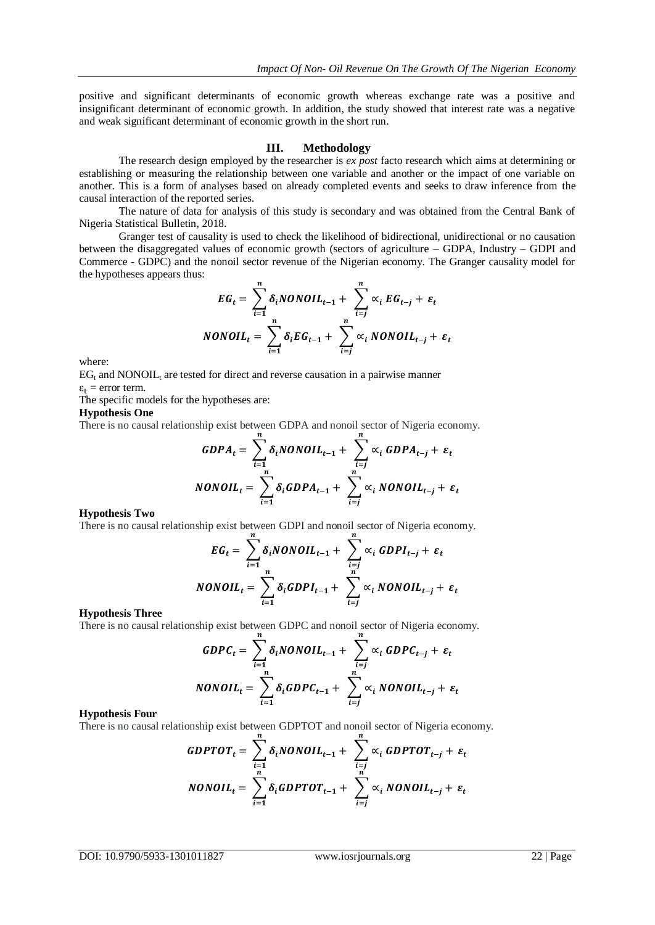positive and significant determinants of economic growth whereas exchange rate was a positive and insignificant determinant of economic growth. In addition, the study showed that interest rate was a negative and weak significant determinant of economic growth in the short run.

#### **III. Methodology**

The research design employed by the researcher is *ex post* facto research which aims at determining or establishing or measuring the relationship between one variable and another or the impact of one variable on another. This is a form of analyses based on already completed events and seeks to draw inference from the causal interaction of the reported series.

The nature of data for analysis of this study is secondary and was obtained from the Central Bank of Nigeria Statistical Bulletin, 2018.

Granger test of causality is used to check the likelihood of bidirectional, unidirectional or no causation between the disaggregated values of economic growth (sectors of agriculture – GDPA, Industry – GDPI and Commerce - GDPC) and the nonoil sector revenue of the Nigerian economy. The Granger causality model for the hypotheses appears thus:

$$
EG_t = \sum_{i=1}^n \delta_i NONOLL_{t-1} + \sum_{i=j}^n \alpha_i EG_{t-j} + \varepsilon_t
$$
  
NONOLL<sub>t</sub> = 
$$
\sum_{i=1}^n \delta_i EG_{t-1} + \sum_{i=j}^n \alpha_i NONOLL_{t-j} + \varepsilon_t
$$

where:

 $EG<sub>t</sub>$  and NONOIL<sub>t</sub> are tested for direct and reverse causation in a pairwise manner  $\varepsilon_t$  = error term.

The specific models for the hypotheses are:

#### **Hypothesis One**

There is no causal relationship exist between GDPA and nonoil sector of Nigeria economy.

$$
GDPA_t = \sum_{i=1}^n \delta_i NONOIL_{t-1} + \sum_{i=j}^n \alpha_i GDPA_{t-j} + \varepsilon_t
$$
  
NONOIL<sub>t</sub> = 
$$
\sum_{i=1}^n \delta_i GDPA_{t-1} + \sum_{i=j}^n \alpha_i NONOIL_{t-j} + \varepsilon_t
$$

#### **Hypothesis Two**

There is no causal relationship exist between GDPI and nonoil sector of Nigeria economy.

$$
EG_t = \sum_{i=1}^{n} \delta_i NONOIL_{t-1} + \sum_{i=j}^{n} \alpha_i GDPI_{t-j} + \varepsilon_t
$$
  
NONOIL<sub>t</sub> = 
$$
\sum_{i=1}^{n} \delta_i GDPI_{t-1} + \sum_{i=j}^{n} \alpha_i NONOIL_{t-j} + \varepsilon_t
$$

#### **Hypothesis Three**

There is no causal relationship exist between GDPC and nonoil sector of Nigeria economy.

$$
GDPC_t = \sum_{i=1}^{n} \delta_i NONOLL_{t-1} + \sum_{i=j}^{n} \alpha_i GDPC_{t-j} + \varepsilon_t
$$
  
NONOLL<sub>t</sub> = 
$$
\sum_{i=1}^{n} \delta_i GDPC_{t-1} + \sum_{i=j}^{n} \alpha_i NONOLL_{t-j} + \varepsilon_t
$$

#### **Hypothesis Four**

There is no causal relationship exist between GDPTOT and nonoil sector of Nigeria economy.

$$
GDPTOT_t = \sum_{i=1}^{n} \delta_i NONOIL_{t-1} + \sum_{i=j}^{n} \alpha_i GDPTOT_{t-j} + \varepsilon_t
$$
  
\n
$$
NONOIL_t = \sum_{i=1}^{n} \delta_i GDPTOT_{t-1} + \sum_{i=j}^{n} \alpha_i NONOIL_{t-j} + \varepsilon_t
$$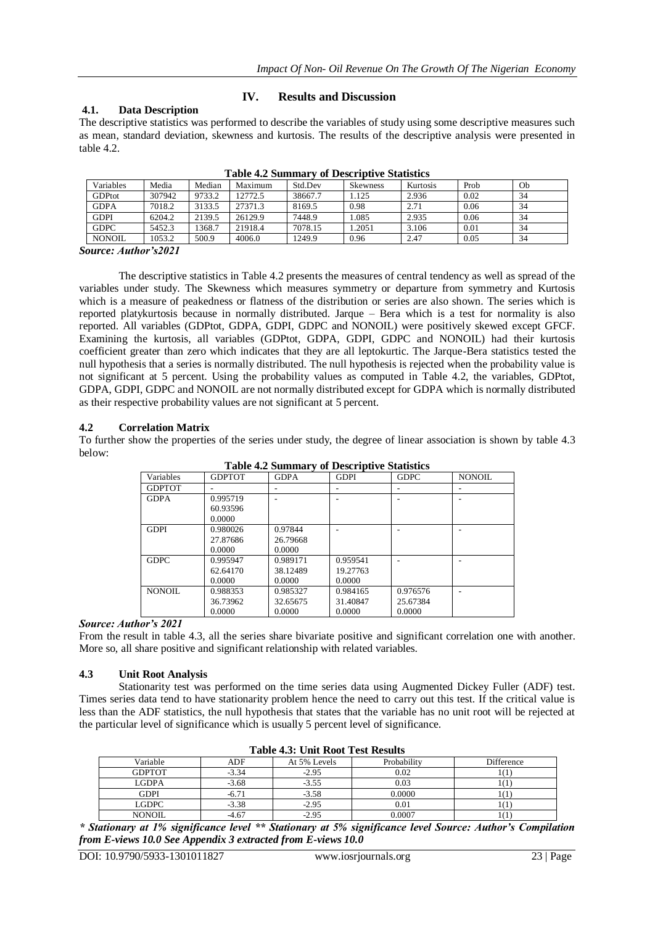# **4.1. Data Description**

# **IV. Results and Discussion**

The descriptive statistics was performed to describe the variables of study using some descriptive measures such as mean, standard deviation, skewness and kurtosis. The results of the descriptive analysis were presented in table 4.2.

| Variables     | Media  | Median | Maximum | Std.Dev | <b>Skewness</b> | Kurtosis | Prob | Ob |
|---------------|--------|--------|---------|---------|-----------------|----------|------|----|
| <b>GDPtot</b> | 307942 | 9733.2 | 12772.5 | 38667.7 | 1.125           | 2.936    | 0.02 | 34 |
| <b>GDPA</b>   | 7018.2 | 3133.5 | 27371.3 | 8169.5  | 0.98            | 2.71     | 0.06 | 34 |
| <b>GDPI</b>   | 6204.2 | 2139.5 | 26129.9 | 7448.9  | 1.085           | 2.935    | 0.06 | 34 |
| <b>GDPC</b>   | 5452.3 | 1368.7 | 21918.4 | 7078.15 | 1.2051          | 3.106    | 0.01 | 34 |
| <b>NONOIL</b> | 1053.2 | 500.9  | 4006.0  | 1249.9  | 0.96            | 2.47     | 0.05 | 34 |

**Table 4.2 Summary of Descriptive Statistics**

*Source: Author's2021*

The descriptive statistics in Table 4.2 presents the measures of central tendency as well as spread of the variables under study. The Skewness which measures symmetry or departure from symmetry and Kurtosis which is a measure of peakedness or flatness of the distribution or series are also shown. The series which is reported platykurtosis because in normally distributed. Jarque – Bera which is a test for normality is also reported. All variables (GDPtot, GDPA, GDPI, GDPC and NONOIL) were positively skewed except GFCF. Examining the kurtosis, all variables (GDPtot, GDPA, GDPI, GDPC and NONOIL) had their kurtosis coefficient greater than zero which indicates that they are all leptokurtic. The Jarque-Bera statistics tested the null hypothesis that a series is normally distributed. The null hypothesis is rejected when the probability value is not significant at 5 percent. Using the probability values as computed in Table 4.2, the variables, GDPtot, GDPA, GDPI, GDPC and NONOIL are not normally distributed except for GDPA which is normally distributed as their respective probability values are not significant at 5 percent.

# **4.2 Correlation Matrix**

To further show the properties of the series under study, the degree of linear association is shown by table 4.3 below:

| <b>GDPTOT</b> | <b>GDPA</b> | <b>GDPI</b> | <b>GDPC</b> | <b>NONOIL</b> |  |  |
|---------------|-------------|-------------|-------------|---------------|--|--|
|               |             |             |             |               |  |  |
| 0.995719      |             |             |             |               |  |  |
| 60.93596      |             |             |             |               |  |  |
| 0.0000        |             |             |             |               |  |  |
| 0.980026      | 0.97844     |             |             |               |  |  |
| 27.87686      | 26.79668    |             |             |               |  |  |
| 0.0000        | 0.0000      |             |             |               |  |  |
| 0.995947      | 0.989171    | 0.959541    |             |               |  |  |
| 62.64170      | 38.12489    | 19.27763    |             |               |  |  |
| 0.0000        | 0.0000      | 0.0000      |             |               |  |  |
| 0.988353      | 0.985327    | 0.984165    | 0.976576    |               |  |  |
| 36.73962      | 32.65675    | 31.40847    | 25.67384    |               |  |  |
| 0.0000        | 0.0000      | 0.0000      | 0.0000      |               |  |  |
|               |             |             |             |               |  |  |

**Table 4.2 Summary of Descriptive Statistics**

# *Source: Author's 2021*

From the result in table 4.3, all the series share bivariate positive and significant correlation one with another. More so, all share positive and significant relationship with related variables.

## **4.3 Unit Root Analysis**

Stationarity test was performed on the time series data using Augmented Dickey Fuller (ADF) test. Times series data tend to have stationarity problem hence the need to carry out this test. If the critical value is less than the ADF statistics, the null hypothesis that states that the variable has no unit root will be rejected at the particular level of significance which is usually 5 percent level of significance.

| Variable      | ADF     | At 5% Levels | Probability | Difference |  |  |  |
|---------------|---------|--------------|-------------|------------|--|--|--|
| <b>GDPTOT</b> | $-3.34$ | $-2.95$      | 0.02        | 111        |  |  |  |
| <b>LGDPA</b>  | $-3.68$ | $-3.55$      | 0.03        | 1 ( 1      |  |  |  |
| <b>GDPI</b>   | $-6.71$ | $-3.58$      | 0.0000      | 101        |  |  |  |
| <b>LGDPC</b>  | $-3.38$ | $-2.95$      | 0.01        | 1 ( 1      |  |  |  |
| <b>NONOIL</b> | -4.67   | $-2.95$      | 000. U      | 111        |  |  |  |

**Table 4.3: Unit Root Test Results**

*\* Stationary at 1% significance level \*\* Stationary at 5% significance level Source: Author's Compilation from E-views 10.0 See Appendix 3 extracted from E-views 10.0*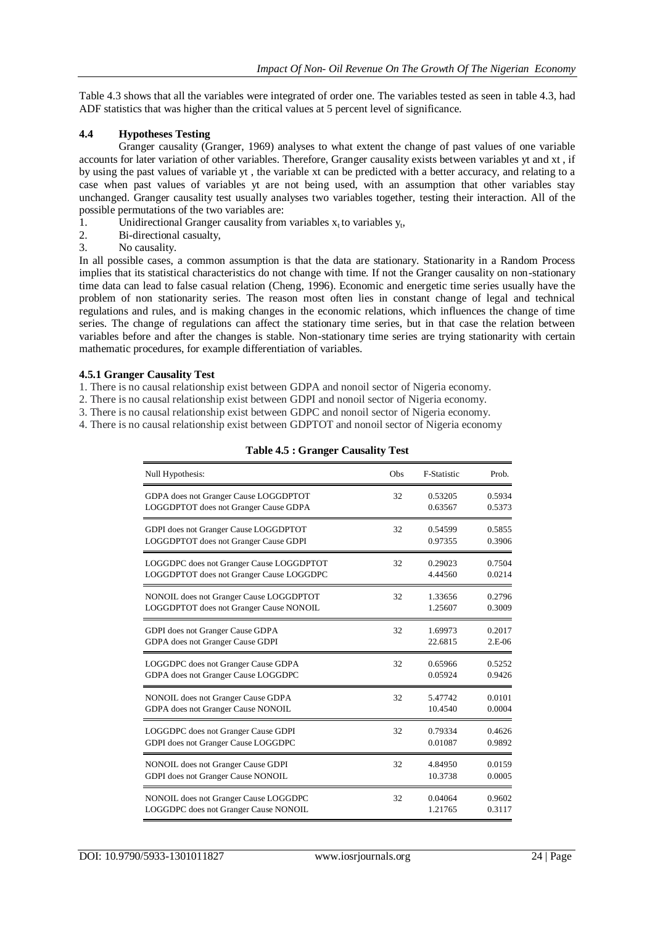Table 4.3 shows that all the variables were integrated of order one. The variables tested as seen in table 4.3, had ADF statistics that was higher than the critical values at 5 percent level of significance.

# **4.4 Hypotheses Testing**

Granger causality (Granger, 1969) analyses to what extent the change of past values of one variable accounts for later variation of other variables. Therefore, Granger causality exists between variables yt and xt , if by using the past values of variable yt , the variable xt can be predicted with a better accuracy, and relating to a case when past values of variables yt are not being used, with an assumption that other variables stay unchanged. Granger causality test usually analyses two variables together, testing their interaction. All of the possible permutations of the two variables are:

- 1. Unidirectional Granger causality from variables  $x_t$  to variables  $y_t$ ,
- 2. Bi-directional casualty,
- 3. No causality.

In all possible cases, a common assumption is that the data are stationary. Stationarity in a Random Process implies that its statistical characteristics do not change with time. If not the Granger causality on non-stationary time data can lead to false casual relation (Cheng, 1996). Economic and energetic time series usually have the problem of non stationarity series. The reason most often lies in constant change of legal and technical regulations and rules, and is making changes in the economic relations, which influences the change of time series. The change of regulations can affect the stationary time series, but in that case the relation between variables before and after the changes is stable. Non-stationary time series are trying stationarity with certain mathematic procedures, for example differentiation of variables.

# **4.5.1 Granger Causality Test**

1. There is no causal relationship exist between GDPA and nonoil sector of Nigeria economy.

- 2. There is no causal relationship exist between GDPI and nonoil sector of Nigeria economy.
- 3. There is no causal relationship exist between GDPC and nonoil sector of Nigeria economy.
- 4. There is no causal relationship exist between GDPTOT and nonoil sector of Nigeria economy

| Null Hypothesis:                         | Obs | F-Statistic | Prob.    |
|------------------------------------------|-----|-------------|----------|
| GDPA does not Granger Cause LOGGDPTOT    | 32  | 0.53205     | 0.5934   |
| LOGGDPTOT does not Granger Cause GDPA    |     | 0.63567     | 0.5373   |
| GDPI does not Granger Cause LOGGDPTOT    | 32  | 0.54599     | 0.5855   |
| LOGGDPTOT does not Granger Cause GDPI    |     | 0.97355     | 0.3906   |
| LOGGDPC does not Granger Cause LOGGDPTOT | 32  | 0.29023     | 0.7504   |
| LOGGDPTOT does not Granger Cause LOGGDPC |     | 4.44560     | 0.0214   |
| NONOIL does not Granger Cause LOGGDPTOT  | 32  | 1.33656     | 0.2796   |
| LOGGDPTOT does not Granger Cause NONOIL  |     | 1.25607     | 0.3009   |
| GDPI does not Granger Cause GDPA         | 32  | 1.69973     | 0.2017   |
| GDPA does not Granger Cause GDPI         |     | 22.6815     | $2.E-06$ |
| LOGGDPC does not Granger Cause GDPA      | 32  | 0.65966     | 0.5252   |
| GDPA does not Granger Cause LOGGDPC      |     | 0.05924     | 0.9426   |
| NONOIL does not Granger Cause GDPA       | 32  | 5.47742     | 0.0101   |
| GDPA does not Granger Cause NONOIL       |     | 10.4540     | 0.0004   |
| LOGGDPC does not Granger Cause GDPI      | 32  | 0.79334     | 0.4626   |
| GDPI does not Granger Cause LOGGDPC      |     | 0.01087     | 0.9892   |
| NONOIL does not Granger Cause GDPI       | 32  | 4.84950     | 0.0159   |
| GDPI does not Granger Cause NONOIL       |     | 10.3738     | 0.0005   |
| NONOIL does not Granger Cause LOGGDPC    | 32  | 0.04064     | 0.9602   |
| LOGGDPC does not Granger Cause NONOIL    |     | 1.21765     | 0.3117   |

#### **Table 4.5 : Granger Causality Test**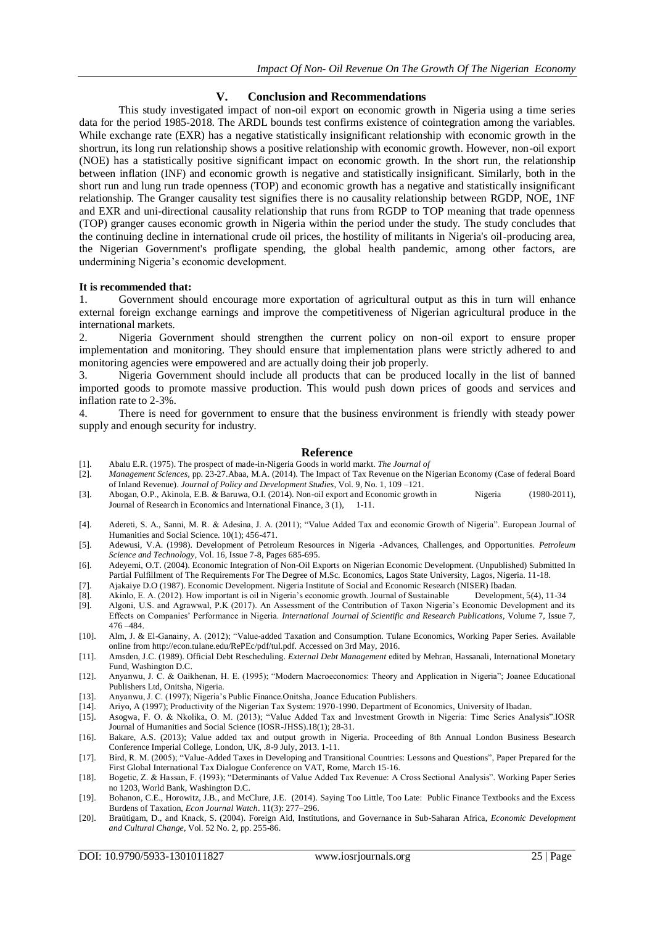# **V. Conclusion and Recommendations**

This study investigated impact of non-oil export on economic growth in Nigeria using a time series data for the period 1985-2018. The ARDL bounds test confirms existence of cointegration among the variables. While exchange rate (EXR) has a negative statistically insignificant relationship with economic growth in the shortrun, its long run relationship shows a positive relationship with economic growth. However, non-oil export (NOE) has a statistically positive significant impact on economic growth. In the short run, the relationship between inflation (INF) and economic growth is negative and statistically insignificant. Similarly, both in the short run and lung run trade openness (TOP) and economic growth has a negative and statistically insignificant relationship. The Granger causality test signifies there is no causality relationship between RGDP, NOE, 1NF and EXR and uni-directional causality relationship that runs from RGDP to TOP meaning that trade openness (TOP) granger causes economic growth in Nigeria within the period under the study. The study concludes that the continuing decline in international crude oil prices, the hostility of militants in Nigeria's oil-producing area, the Nigerian Government's profligate spending, the global health pandemic, among other factors, are undermining Nigeria's economic development.

## **It is recommended that:**

1. Government should encourage more exportation of agricultural output as this in turn will enhance external foreign exchange earnings and improve the competitiveness of Nigerian agricultural produce in the international markets.

2. Nigeria Government should strengthen the current policy on non-oil export to ensure proper implementation and monitoring. They should ensure that implementation plans were strictly adhered to and monitoring agencies were empowered and are actually doing their job properly.

3. Nigeria Government should include all products that can be produced locally in the list of banned imported goods to promote massive production. This would push down prices of goods and services and inflation rate to 2-3%.

4. There is need for government to ensure that the business environment is friendly with steady power supply and enough security for industry.

## **Reference**

- [1]. Abalu E.R. (1975). The prospect of made-in-Nigeria Goods in world markt. *The Journal of*
- [2]. *Management Sciences,* pp. 23-27.Abaa, M.A. (2014). The Impact of Tax Revenue on the Nigerian Economy (Case of federal Board of Inland Revenue). *Journal of Policy and Development Studies*, Vol. 9, No. 1, 109 –121.
- [3]. Abogan, O.P., Akinola, E.B. & Baruwa, O.I. (2014). Non-oil export and Economic growth in Nigeria (1980-2011), Journal of Research in Economics and International Finance, 3 (1), 1-11.
- [4]. Adereti, S. A., Sanni, M. R. & Adesina, J. A. (2011); "Value Added Tax and economic Growth of Nigeria". European Journal of Humanities and Social Science. 10(1); 456-471.
- [5]. Adewusi, V.A. (1998). Development of Petroleum Resources in Nigeria -Advances, Challenges, and Opportunities. *Petroleum Science and Technology*, Vol. 16, Issue 7-8, Pages 685-695.
- [6]. Adeyemi, O.T. (2004). Economic Integration of Non-Oil Exports on Nigerian Economic Development. (Unpublished) Submitted In Partial Fulfillment of The Requirements For The Degree of M.Sc. Economics, Lagos State University, Lagos, Nigeria. 11-18.
- [7]. Ajakaiye D.O (1987). Economic Development. Nigeria Institute of Social and Economic Research (NISER) Ibadan.
- [8]. Akinlo, E. A. (2012). How important is oil in Nigeria's economic growth. Journal of Sustainable Development, 5(4), 11-34
- [9]. Algoni, U.S. and Agrawwal, P.K (2017). An Assessment of the Contribution of Taxon Nigeria's Economic Development and its Effects on Companies' Performance in Nigeria. *International Journal of Scientific and Research Publications*, Volume 7, Issue 7, 476 –484.
- [10]. Alm, J. & El-Ganainy, A. (2012); "Value-added Taxation and Consumption. Tulane Economics, Working Paper Series. Available online from http://econ.tulane.edu/RePEc/pdf/tul.pdf. Accessed on 3rd May, 2016.
- [11]. Amsden, J.C. (1989). Official Debt Rescheduling. *External Debt Management* edited by Mehran, Hassanali, International Monetary Fund, Washington D.C.
- [12]. Anyanwu, J. C. & Oaikhenan, H. E. (1995); "Modern Macroeconomics: Theory and Application in Nigeria"; Joanee Educational Publishers Ltd, Onitsha, Nigeria.
- [13]. Anyanwu, J. C. (1997); Nigeria's Public Finance.Onitsha, Joance Education Publishers.
- [14]. Ariyo, A (1997); Productivity of the Nigerian Tax System: 1970-1990. Department of Economics, University of Ibadan.
- [15]. Asogwa, F. O. & Nkolika, O. M. (2013); "Value Added Tax and Investment Growth in Nigeria: Time Series Analysis".IOSR Journal of Humanities and Social Science (IOSR-JHSS).18(1); 28-31.
- [16]. Bakare, A.S. (2013); Value added tax and output growth in Nigeria. Proceeding of 8th Annual London Business Besearch Conference Imperial College, London, UK, .8-9 July, 2013. 1-11.
- [17]. Bird, R. M. (2005); "Value-Added Taxes in Developing and Transitional Countries: Lessons and Questions", Paper Prepared for the First Global International Tax Dialogue Conference on VAT, Rome, March 15-16.
- [18]. Bogetic, Z. & Hassan, F. (1993); "Determinants of Value Added Tax Revenue: A Cross Sectional Analysis". Working Paper Series no 1203, World Bank, Washington D.C.
- [19]. Bohanon, C.E., Horowitz, J.B., and McClure, J.E. (2014). Saying Too Little, Too Late: Public Finance Textbooks and the Excess Burdens of Taxation, *Econ Journal Watch*. 11(3): 277–296.
- [20]. Braütigam, D., and Knack, S. (2004). Foreign Aid, Institutions, and Governance in Sub-Saharan Africa, *Economic Development and Cultural Change*, Vol. 52 No. 2, pp. 255-86.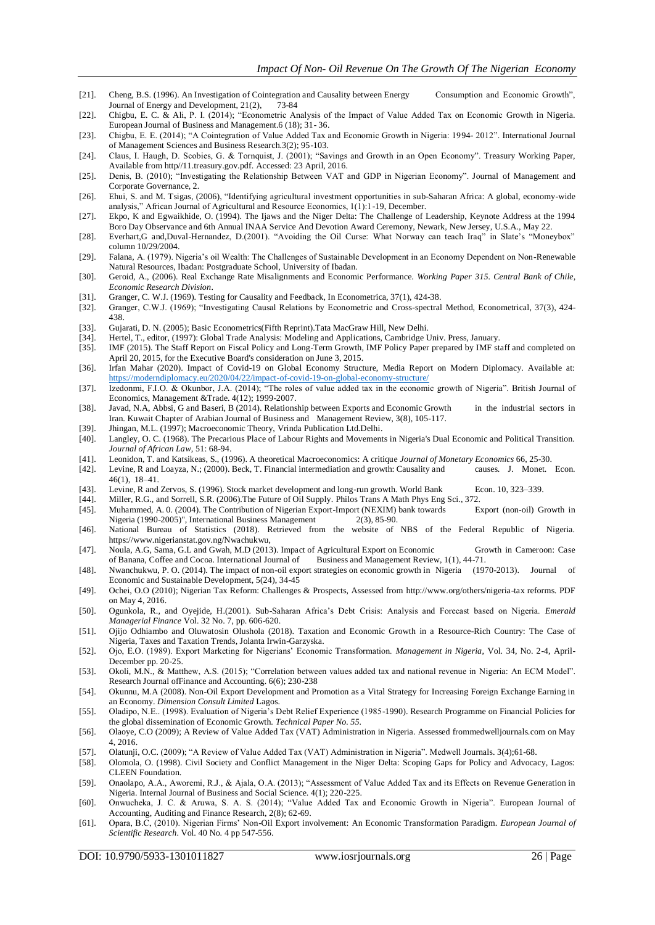- [21]. Cheng, B.S. (1996). An Investigation of Cointegration and Causality between Energy Consumption and Economic Growth", Journal of Energy and Development, 21(2), 73-84
- [22]. Chigbu, E. C. & Ali, P. I. (2014); "Econometric Analysis of the Impact of Value Added Tax on Economic Growth in Nigeria. European Journal of Business and Management.6 (18); 31- 36.
- [23]. Chigbu, E. E. (2014); "A Cointegration of Value Added Tax and Economic Growth in Nigeria: 1994- 2012". International Journal of Management Sciences and Business Research.3(2); 95-103.
- [24]. Claus, I. Haugh, D. Scobies, G. & Tornquist, J. (2001); "Savings and Growth in an Open Economy". Treasury Working Paper, Available from http//11.treasury.gov.pdf. Accessed: 23 April, 2016.
- [25]. Denis, B. (2010); "Investigating the Relationship Between VAT and GDP in Nigerian Economy". Journal of Management and Corporate Governance, 2.
- [26]. Ehui, S. and M. Tsigas, (2006), "Identifying agricultural investment opportunities in sub-Saharan Africa: A global, economy-wide analysis," African Journal of Agricultural and Resource Economics, 1(1):1-19, December.
- [27]. Ekpo, K and Egwaikhide, O. (1994). The Ijaws and the Niger Delta: The Challenge of Leadership, Keynote Address at the 1994 Boro Day Observance and 6th Annual INAA Service And Devotion Award Ceremony, Newark, New Jersey, U.S.A., May 22.
- [28]. Everhart,G and,Duval-Hernandez, D.(2001). "Avoiding the Oil Curse: What Norway can teach Iraq" in Slate's "Moneybox" column 10/29/2004.
- [29]. Falana, A. (1979). Nigeria's oil Wealth: The Challenges of Sustainable Development in an Economy Dependent on Non-Renewable Natural Resources, Ibadan: Postgraduate School, University of Ibadan.
- [30]. Geroid, A., (2006). Real Exchange Rate Misalignments and Economic Performance. *Working Paper 315. Central Bank of Chile, Economic Research Division*.
- [31]. Granger, C. W.J. (1969). Testing for Causality and Feedback, In Econometrica, 37(1), 424-38.
- [32]. Granger, C.W.J. (1969); "Investigating Causal Relations by Econometric and Cross-spectral Method, Econometrical, 37(3), 424- 438.
- [33]. Gujarati, D. N. (2005); Basic Econometrics(Fifth Reprint).Tata MacGraw Hill, New Delhi.
- [34]. Hertel, T., editor, (1997): Global Trade Analysis: Modeling and Applications, Cambridge Univ. Press, January.
- [35]. IMF (2015). The Staff Report on Fiscal Policy and Long-Term Growth, IMF Policy Paper prepared by IMF staff and completed on April 20, 2015, for the Executive Board's consideration on June 3, 2015.
- [36]. Irfan Mahar (2020). Impact of Covid-19 on Global Economy Structure, Media Report on Modern Diplomacy. Available at: <https://moderndiplomacy.eu/2020/04/22/impact-of-covid-19-on-global-economy-structure/>
- [37]. Izedonmi, F.I.O. & Okunbor, J.A. (2014); "The roles of value added tax in the economic growth of Nigeria". British Journal of Economics, Management &Trade. 4(12); 1999-2007.
- [38]. Javad, N.A, Abbsi, G and Baseri, B (2014). Relationship between Exports and Economic Growth in the industrial sectors in Iran. Kuwait Chapter of Arabian Journal of Business and Management Review, 3(8), 105-117.
- [39]. Jhingan, M.L. (1997); Macroeconomic Theory, Vrinda Publication Ltd.Delhi.
- [40]. Langley, O. C. (1968). The Precarious Place of Labour Rights and Movements in Nigeria's Dual Economic and Political Transition. *Journal of African Law*, 51: 68-94.
- [41]. Leonidon, T. and Katsikeas, S., (1996). A theoretical Macroeconomics: A critique *Journal of Monetary Economics* 66, 25-30.
- [42]. Levine, R and Loayza, N.; (2000). Beck, T. Financial intermediation and growth: Causality and causes. J. Monet. Econ. 46(1), 18–41.
- [43]. Levine, R and Zervos, S. (1996). Stock market development and long-run growth. World Bank Econ. 10, 323–339.
- [44]. Miller, R.G., and Sorrell, S.R. (2006).The Future of Oil Supply. Philos Trans A Math Phys Eng Sci., 372.
- [45]. Muhammed, A. 0. (2004). The Contribution of Nigerian Export-Import (NEXIM) bank towards Nigeria (1990-2005)", International Business Management 2(3), 85-90.
- [46]. National Bureau of Statistics (2018). Retrieved from the website of NBS of the Federal Republic of Nigeria. https://www.nigerianstat.gov.ng/Nwachukwu,
- [47]. Noula, A.G, Sama, G.L and Gwah, M.D (2013). Impact of Agricultural Export on Economic Growth in Cameroon: Case of Banana, Coffee and Cocoa. International Journal of Business and Management Review, 1(1), 44-71.
- [48]. Nwanchukwu, P. O. (2014). The impact of non-oil export strategies on economic growth in Nigeria (1970-2013). Journal of Economic and Sustainable Development, 5(24), 34-45
- [49]. Ochei, O.O (2010); Nigerian Tax Reform: Challenges & Prospects, Assessed from http://www.org/others/nigeria-tax reforms. PDF on May 4, 2016.
- [50]. Ogunkola, R., and Oyejide, H.(2001). Sub-Saharan Africa's Debt Crisis: Analysis and Forecast based on Nigeria. *Emerald Managerial Finance* Vol. 32 No. 7, pp. 606-620.
- [51]. Ojijo Odhiambo and Oluwatosin Olushola (2018). Taxation and Economic Growth in a Resource-Rich Country: The Case of Nigeria, Taxes and Taxation Trends, Jolanta Irwin-Garzyska.
- [52]. Ojo, E.O. (1989). Export Marketing for Nigerians' Economic Transformation. *Management in Nigeria*, Vol. 34, No. 2-4, April-December pp. 20-25.
- [53]. Okoli, M.N., & Matthew, A.S. (2015); "Correlation between values added tax and national revenue in Nigeria: An ECM Model". Research Journal ofFinance and Accounting. 6(6); 230-238
- [54]. Okunnu, M.A (2008). Non-Oil Export Development and Promotion as a Vital Strategy for Increasing Foreign Exchange Earning in an Economy. *Dimension Consult Limited* Lagos.
- [55]. Oladipo, N.E.. (1998). Evaluation of Nigeria's Debt Relief Experience (1985-1990). Research Programme on Financial Policies for the global dissemination of Economic Growth. *Technical Paper No. 55.*
- [56]. Olaoye, C.O (2009); A Review of Value Added Tax (VAT) Administration in Nigeria. Assessed frommedwelljournals.com on May 4, 2016.
- [57]. Olatunji, O.C. (2009); "A Review of Value Added Tax (VAT) Administration in Nigeria". Medwell Journals. 3(4);61-68.
- [58]. Olomola, O. (1998). Civil Society and Conflict Management in the Niger Delta: Scoping Gaps for Policy and Advocacy, Lagos: CLEEN Foundation.
- [59]. Onaolapo, A.A., Aworemi, R.J., & Ajala, O.A. (2013); "Assessment of Value Added Tax and its Effects on Revenue Generation in Nigeria. Internal Journal of Business and Social Science. 4(1); 220-225.
- [60]. Onwucheka, J. C. & Aruwa, S. A. S. (2014); "Value Added Tax and Economic Growth in Nigeria". European Journal of Accounting, Auditing and Finance Research, 2(8); 62-69.
- [61]. Opara, B.C, (2010). Nigerian Firms' Non-Oil Export involvement: An Economic Transformation Paradigm. *European Journal of Scientific Research*. Vol. 40 No. 4 pp 547-556.